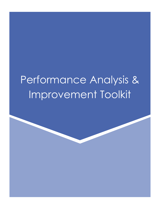# Performance Analysis & Improvement Toolkit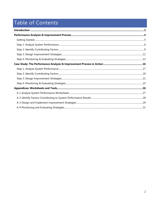## Table of Contents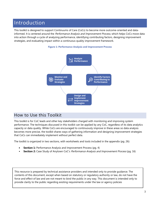## Introduction

This toolkit is designed to support Continuums of Care (CoCs) to become more outcome-oriented and datainformed. It is centered around the *Performance Analysis and Improvement Process*, which helps CoCs move data into action through a cycle of analyzing performance, identifying contributing factors, designing improvement strategies, and evaluating impact within a continuous quality improvement framework.





## How to Use this Toolkit

This toolkit is for CoC leads and other key stakeholders charged with monitoring and improving system performance. The techniques discussed in this toolkit can be applied by any CoC, regardless of its data analytics capacity or data quality. While CoCs are encouraged to continuously improve in these areas so data analysis becomes more precise, the toolkit shares ways of gathering information and designing improvement strategies that CoCs can immediately implement without perfect data.

The toolkit is organized in two sections, with worksheets and tools included in the appendix (pg. 26):

- **Section 1:** Performance Analysis and Improvement Process (pg. 4)
- **Section 2:** Case Study of Anytown CoC's Performance Analysis and Improvement Process (pg. 16)

This resource is prepared by technical assistance providers and intended only to provide guidance. The contents of this document, except when based on statutory or regulatory authority or law, do not have the force and effect of law and are not meant to bind the public in any way. This document is intended only to provide clarity to the public regarding existing requirements under the law or agency policies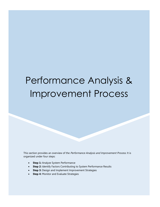# Performance Analysis & Improvement Process

This section provides an overview of the Performance Analysis and Improvement Process. It is organized under four steps:

- **Step 1:** Analyze System Performance
- **Step 2:** Identify Factors Contributing to System Performance Results
- **Step 3:** Design and Implement Improvement Strategies
- **Step 4:** Monitor and Evaluate Strategies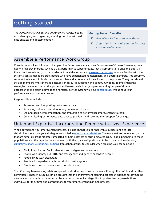## Getting Started

The Performance Analysis and Improvement Process begins with identifying and organizing a work group that will lead data analysis and implementation.

#### **Getting Started: Checklist**

- □ Assemble a Performance Work Group
- $\Box$  Secure buy-in for starting the performance improvement process

## Assemble a Performance Work Group

Consider who will mobilize and champion the *Performance Analysis and Improvement Process*. There may be an existing leadership group, such as a CoC performance subcommittee, that is appropriate to drive this effort. If there is not an existing group, consider various stakeholders and cross-sector partners who are familiar with the system, such as managers, staff, people who have experienced homelessness, and board members. This group will serve as the leadership body that is responsible and accountable for each step of the process. The group should include members who can make decisions on resource allocation and community policy to implement the strategies developed during this process. A diverse stakeholder group representing people of different backgrounds and touch points to the homeless service system will help center equity throughout your performance improvement process.

Responsibilities include:

- Reviewing and interpreting performance data.
- Reviewing outcomes and developing improvement plans.
- Leading design, implementation, and evaluation of performance improvement strategies.
- Communicating performance data back to providers and securing their support for change.

### Untapped Expertise: Incorporating People with Lived Experience

When developing your improvement process, it is critical that you partner with a diverse range of local stakeholders to ensure your strategies are rooted in equity-based decisions. There are various population groups that are either disproportionately impacted by homelessness or facing elevated risks. People belonging to these populations, and the organizations that work with them, are well positioned to lead communities devising culturally responsive housing solutions. Population groups to consider when building your team include:

- Black, Asian, Latinx, Pacific Islanders, and indigenous populations.
- People who identify as LGBTQ and transgender and gender-expansive people.
- People living with disabilities.
- People with experience with the criminal justice system.
- People with lived experience with homelessness.

Your CoC may have existing relationships with individuals with lived experience through the CoC board or other committees. These individuals can be brought into the improvement planning process in addition to developing new relationships with those impacted by your improvement strategy. It is important to compensate these individuals for their time and contributions to your improvement planning process.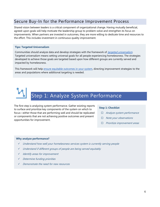## Secure Buy-In for the Performance Improvement Process

Shared vision between leaders is a critical component of organizational change. Having mutually beneficial, agreed-upon goals will help motivate the leadership group to problem-solve and strengthen its focus on improvements. When partners are invested in outcomes, they are more willing to dedicate time and resources to the effort. This includes investment in continuous quality improvement.

#### **Tips: Targeted Universalism**

Communities should analyze data and develop strategies with the framework of targeted universalism. Targeted universalism means setting universal goals for all people experiencing homelessness. The strategies developed to achieve those goals are targeted based upon how different groups are currently served and impacted by homelessness.

This framework will help ensure equitable outcomes in your system, directing improvement strategies to the areas and populations where additional targeting is needed.

## Step 1: Analyze System Performance

The first step is analyzing system performance. Gather existing reports to surface and prioritize key components of the system on which to focus—either those that are performing well and should be replicated or components that are not achieving positive outcomes and present opportunities for improvement.

#### **Step 1: Checklist**

- □ Analyze system performance
- $\Box$  Note your observations
- $\Box$  Prioritize improvement areas

#### **Why analyze performance?**

- $\checkmark$  Understand how well your homelessness services system is currently serving people
- $\checkmark$  Understand if different groups of people are being served equitably
- $\checkmark$  Identify areas for improvement
- Determine funding priorities
- Demonstrate the need for new resources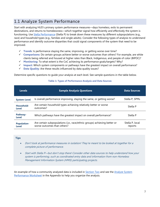## 1.1 Analyze System Performance

Start with analyzing HUD's primary system performance measures—days homeless, exits to permanent destinations, and returns to homelessness—which together signal how efficiently and effectively the system is functioning. Use Stella Performance (Stella P) to break down these measures by different subpopulations (e.g., race) and household types (e.g., families and single adults). Consider the following types of analysis to understand performance and identify outcome disparities that could signal components of the system that need to be improved.

- **Trends**: Is performance staying the same, improving, or getting worse over time?
- **Comparisons**: Do certain groups achieve better or worse outcomes than others? For example, are white clients being referred and housed at higher rates than Black, Indigenous, and people of color (BIPOC)?
- **Monitoring**: To what extent is the CoC achieving its performance goals/targets? Why?
- **Impact:** Which system components or pathways have the greatest impact on overall performance?
- **Data Quality**: Are these results influenced by data quality issues?

Determine specific questions to guide your analysis at each level. See sample questions in the table below.

| <b>Levels</b>                      | <b>Sample Analysis Questions</b>                                                                         | <b>Data Sources</b>        |
|------------------------------------|----------------------------------------------------------------------------------------------------------|----------------------------|
| <b>System-Level</b>                | Is overall performance improving, staying the same, or getting worse?                                    | Stella P, SPMs             |
| Household-<br><b>Level</b>         | Are certain household types achieving relatively better or worse<br>outcomes?                            | Stella P                   |
| Pathway-<br><b>Level</b>           | Which pathways have the greatest impact on overall performance?                                          | Stella P                   |
| <b>Population-</b><br><b>Level</b> | Are certain subpopulations (i.e., race/ethnic groups) achieving better or<br>worse outcomes than others? | Stella P, local<br>reports |

#### **Table 1: Types of Performance Analysis and Data Sources**

#### **Tips**

- Don't look at performance measures in isolation! They're meant to be looked at together for a complete picture of performance.
- Start with Stella P—but don't stop there! Consider other data sources to help understand how your system is performing, such as coordinated entry data and information from non-Homeless Management Information System (HMIS) participating projects.

An example of how a community analyzed data is included in Section Two and see the Analyze System Performance Worksheet in the Appendix to help you organize the analysis.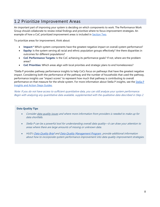## 1.2 Prioritize Improvement Areas

An important part of improving your system is deciding on which components to work. The Performance Work Group should collaborate to review initial findings and prioritize where to focus improvement strategies. An example of how a CoC prioritized improvement areas is included in Section Two.

To prioritize areas for improvement, think about:

- **Impact:\*** Which system components have the greatest negative impact on overall system performance?
- **Equity:** Is the system serving all racial and ethnic population groups effectively? Are there disparities in outcomes for different populations?
- **CoC Performance Targets:** Is the CoC achieving its performance goals? If not, where are the problem areas?
- **CoC Priorities:** Which areas align with local priorities and strategic plans to end homelessness?

\*Stella P provides pathway performance insights to help CoCs focus on pathways that have the greatest negative impact. Considering both the performance of the pathway and the number of households that used the pathway, performance insights use "impact scores" to represent how much that pathway is contributing to overall performance on that measure for the whole system. For more information about Stella P insights, see the Stella P Insights and Action Steps Guides.

Note: If you do not have access to sufficient quantitative data, you can still analyze your system performance. Begin with analyzing any quantitative data available, supplemented with the qualitative data described in Step 2.

#### **Data Quality Tips**

- Consider data quality issues and where more information from providers is needed to make up for data shortfalls.
- Stella P can be a powerful tool for understanding overall data quality—it can draw your attention to areas where there are large amounts of missing or unknown data.
- HUD's Data Quality Brief and Data Quality Management Program provide additional information about how to incorporate system performance improvement into data quality improvement strategies.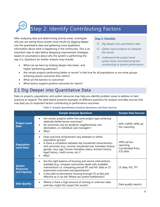## Step 2: Identify Contributing Factors

After analyzing data and determining priority areas, investigate  $why$  you are seeing those system-level results by digging deeper into the quantitative data and gathering more qualitative information about what is happening in the community. This is an important step to take before designing improvement strategies based on assumptions about why the system is performing the way it is. Questions for further analysis may include:

What can we learn by looking deeper into lower- and contributing to system performance higher-performing pathways?

#### **Step 2: Checklist**

- $\Box$  Dig deeper into quantitative data
- $\Box$  Gather more evidence to interpret the results
- $\Box$  Understand the project-level, system-level, and external factors
- Are certain projects performing better or worse? Is that true for all populations or are some groups achieving poorer outcomes than others?
- What are the barriers to outcomes?
- What factors support positive outcomes for clients?

### 2.1 Dig Deeper into Quantitative Data

Data on projects, populations, and system resources may help you identify problem areas to address or best practices to expand. The table below presents examples of different questions for analysis and data sources that may lead you to important factors contributing to performance outcomes.

#### **Table 2: Sample Quantitative Analysis Questions and Data Sources**

|                                                   | <b>Sample Analysis Questions</b>                                                                                                                                                                                                                                                                                                                                         | <b>Sample Data Sources</b>                                  |
|---------------------------------------------------|--------------------------------------------------------------------------------------------------------------------------------------------------------------------------------------------------------------------------------------------------------------------------------------------------------------------------------------------------------------------------|-------------------------------------------------------------|
| <b>Project-Level</b><br><b>Data</b>               | Are certain projects within the same project type achieving<br>relatively better/worse outcomes?<br>Do outcomes vary by landlord, neighborhood, exit<br>$\bullet$<br>destination, or individual case managers?<br>Why?                                                                                                                                                   | APR, CAPER, HMIS ad<br>hoc reporting                        |
| <b>Population-</b><br><b>Level Data</b>           | Does outcome achievement vary between or within<br>population groups?<br>Is there a correlation between key household characteristics<br>and outcomes (e.g., income, household size, homeless history,<br>gender, race, age, chronic homeless status, eviction history,<br>legal history, credit scores, etc.)?<br>Why?                                                  | HMIS ad hoc<br>reporting,<br>Coordinated Entry<br>(CE) data |
| <b>System</b><br><b>Resources</b><br>and Capacity | Are the right balance of housing and service interventions<br>$\bullet$<br>available (e.g. compare community needs with available<br>interventions i.e. comparing annual PIT and HIC data or CE<br>assessment outcomes and placements)?<br>Is the path to permanent housing through CE as fast and<br>$\bullet$<br>effective as it can be? Where are system bottlenecks? | CE data, HIC, PIT                                           |
| <b>Data Quality</b>                               | Where is there a high amount of missing or unknown data<br>$\bullet$<br>and how might this impact the results?                                                                                                                                                                                                                                                           | Data quality reports                                        |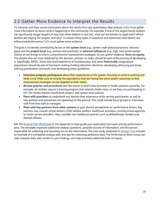## 2.2 Gather More Evidence to Interpret the Results

To interpret and draw sound conclusions about the results from any quantitative data analysis, CoCs must gather more information to assess what is happening in the community. For example, if one of the largest family shelters has significantly longer lengths of stay than other shelters in the CoC, what are the barriers to rapid exits? Which families are staying the longest, and why? To answer these types of questions and determine what factors are influencing performance, CoCs must gather more evidence.

The goal is to identify contributing factors at the **system level** (e.g., system-wide policies/practices, resource gaps) and the **project level** (e.g., policies and practices), or **external influences** (e.g., high-cost rental market, history of red-lining) to inform comprehensive improvement strategies. As you gather evidence, **focus on equity.**  The people who are most impacted by the decision, process, or policy should be part of the process of developing it. Specifically, BIPOC, those with lived experience of homelessness, and other **historically** marginalized populations should be part of the teams making funding allocation decisions, developing rehousing processes, refining prioritization protocols, and developing policy guidelines.

- **Interview program participants** about their experiences in the system, focusing on what is working and what is not. Make sure to include the populations that are having the worst system outcomes so that improvement strategies can be targeted to their needs.
- **Review policies and procedures** and the extent to which they promote or hinder positive outcomes. For example, do shelters require a training program that extends shelter stays, or are they not participating in CE? The review should include both project- and system-level policies.
- **Meet with providers** to understand any barriers they experience while serving participants, as well as how policies and procedures are operating on the ground. This could include focus groups or interviews with front-line staff or managers.
- **Meet with key partners from other systems** to gain diverse perspectives on performance drivers. Key partners may include school liaisons, child welfare workers, healthcare providers, criminal justice agencies, or victim service providers. Also, consider non-traditional partners such as philanthropic funders and elected officials.

See the Analysis Plan Worksheet in the Appendix to help guide your exploration into each priority performance area. The template organizes additional analysis questions, possible sources of information, and the person responsible for collecting and reporting out on the information. The case study presented in Section Two includes an example of a completed analysis plan and tips for collecting additional data. The Performance Work Group can help interpret data, add context to your findings, and help prioritize additional lines of inquiry.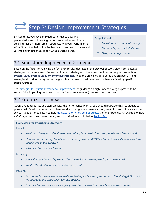# Step 3: Design Improvement Strategies

By step three, you have analyzed performance data and pinpointed issues influencing performance outcomes. The next step is to design improvement strategies with your Performance Work Group that help minimize barriers to positive outcomes and leverage strengths that support what is working well.

#### **Step 3: Checklist**

- $\Box$  Brainstorm improvement strategies
- $\Box$  Prioritize high-impact strategies
- $\Box$  Design your logic model

## 3.1 Brainstorm Improvement Strategies

Based on the factors influencing performance results identified in the previous section, brainstorm potential strategies for improvement. Remember to match strategies to the issues identified in the previous section: **system-level, project-level, or external strategies**. Keep the principles of targeted universalism in mind: strategies should further system-wide goals but may need to address needs or barriers faced by specific subpopulations.

See Strategies for System Performance Improvement for guidance on high-impact strategies proven to be successful at impacting the three critical performance measures (days, exits, and returns).

### 3.2 Prioritize for Impact

Given limited resources and staff capacity, the Performance Work Group should prioritize which strategies to pursue first. Develop a prioritization framework as your guide to assess impact, feasibility, and influence as you select strategies to pursue. A sample Framework for Prioritizing Strategies is in the Appendix. An example of how a CoC organized their brainstorming and prioritization is included in **Section Two**.

#### **Framework for Prioritizing Strategies**

Impact:

- What would happen if this strategy was not implemented? How many people would this impact?
- How are we maximizing benefit and minimizing harm to BIPOC and other historically disenfranchised populations in this process?
- What are the associated costs?

Feasibility:

- Is this the right time to implement this strategy? Are there sequencing considerations?
- What is the likelihood that you will be successful?

Influence:

- Should the homelessness sector really be leading and investing resources in this strategy? Or should we be supporting mainstream partners to lead?
- Does the homeless sector have agency over this strategy? Is it something within our control?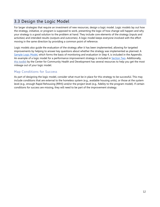## 3.3 Design the Logic Model

For larger strategies that require an investment of new resources, design a logic model. Logic models lay out how the strategy, initiative, or program is supposed to work, presenting the logic of how change will happen and why your strategy is a good solution to the problem at hand. They include core elements of the strategy (inputs and activities) and intended results (outputs and outcomes). A logic model keeps everyone involved with the effort moving in the same direction by providing a common point of reference.

Logic models also guide the evaluation of the strategy after it has been implemented, allowing for targeted improvements by helping to answer key questions about whether the strategy was implemented as planned. A Sample Logic Model, which forms the basis of monitoring and evaluation in Step 4, is included in the Appendix. An example of a logic model for a performance improvement strategy is included in Section Two. Additionally, this toolkit by the Center for Community Health and Development has several resources to help you get the most mileage out of your logic model.

#### Map Conditions for Success

As part of designing the logic model, consider what must be in place for this strategy to be successful. This may include conditions that are external to the homeless system (e.g., available housing units), or those at the system level (e.g., enough Rapid Rehousing [RRH]) and/or the project level (e.g., fidelity to the program model). If certain conditions for success are missing, they will need to be part of the improvement strategy.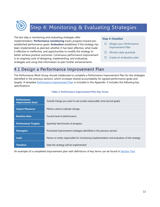# Step 4: Monitoring & Evaluating Strategies

The last step is monitoring and evaluating strategies after implementation. **Performance monitoring** tracks progress toward preestablished performance goals. **Evaluation** establishes if the strategy has been implemented as planned, whether it has been effective, what made it effective or ineffective, and opportunities to modify the strategy to better achieve positive outcomes. Continuous performance improvement is an ongoing cycle of designing, implementing, and evaluating strategies and using that information to plan further enhancements.

#### **Step 4: Checklist**

- Design your Performance Improvement Plan
- $\Box$  Monitor data quarterly
- $\Box$  Create an evaluation plan

## 4.1 Design a Performance Improvement Plan

The Performance Work Group should collaborate to complete a Performance Improvement Plan for the strategies identified in the previous sections, which increases shared accountability for agreed performance goals and targets. A template Performance Improvement Plan is included in the Appendix. It includes the following key specifications.

| <b>Performance</b><br><b>Improvement Goal:</b> | Overall change you want to see (create measurable, time-bound goals)                      |
|------------------------------------------------|-------------------------------------------------------------------------------------------|
| <b>Impact Measures:</b>                        | Metrics used to indicate change                                                           |
| <b>Baseline data:</b>                          | Current level of performance                                                              |
| <b>Performance Targets:</b>                    | Quarterly benchmarks of progress                                                          |
| <b>Strategies:</b>                             | Prioritized improvement strategies identified in the previous section                     |
| Lead:                                          | Person or entity responsible for monitoring implementation and evaluation of the strategy |
| <b>Timeline:</b>                               | Date the strategy will be implemented                                                     |

#### **Table 3: Performance Improvement Plan Key Terms**

An example of a completed improvement plan with definitions of key terms can be found in Section Two.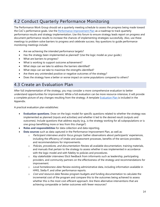## 4.2 Conduct Quarterly Performance Monitoring

The Performance Work Group should set a quarterly meeting schedule to assess the progress being made toward the CoC's performance goals. Use the Performance Improvement Plan as a roadmap to track quarterly performance results and strategy implementation. Use this forum to ensure strategy leads report on progress and document performance results to increase the chances of implementing strategies successfully. Also, use these meetings to problem-solve barriers to progress and celebrate success. Key questions to guide performance monitoring meetings include:

- Are we achieving the intended performance targets?
- Has the strategy been implemented as planned? (Use the logic model as your guide.)
- What are barriers to progress?
- What is working to support outcome achievement?
- What steps can we take to address the barriers identified?
- What steps can we take to maximize the strengths identified?
- Are there any unintended positive or negative outcomes of the strategy?
- Does the strategy have a better or worse impact on some populations compared to others?

## 4.3 Create an Evaluation Plan

After full implementation of the strategy, you may consider a more comprehensive evaluation to better understand opportunities for improvement. While a full evaluation can be more resource-intensive, it will provide a complete picture of any changes resulting from the strategy. A template Evaluation Plan is included in the Appendix.

A practical evaluation plan establishes:

- **Evaluation questions**. Draw on the logic model for specific questions related to whether the strategy was implemented as planned (inputs and activities) and whether it led to the desired result (outputs and outcomes). Include questions that address equity (e.g., is the strategy working for all subpopulations or is one group benefitting more or less from this change?)
- **Roles and responsibilities** for data collection and data reporting.
- **Data sources** such as data captured in the Performance Improvement Plan, as well as:
	- $\circ$  *Participant interviews and/or focus groups:* Gather observations about participants' experiences, including the efficiency of intake and assessment processes, benefits of the services providers, and recommendations for improvements.
	- o Policies, procedures, and documentation: Review all available documentation, training materials, and manuals that pertain to the strategy to assess whether it was implemented in accordance with the logic model and with fidelity to policies and procedures.
	- $\circ$  Key stakeholder interviews: Elicit feedback from informants such as leadership, participating providers, and community partners on the effectiveness of the strategy and recommendations for improvement.
	- o Local homelessness data: Review existing administrative data, including information available in HMIS, Stella P, and other performance reports.
	- $\circ$  *Cost and resource data:* Review program budgets and funding documentation to calculate the incremental cost of the program and compare this to the outcomes being achieved to assess whether this is the most cost-efficient approach. Are there alternative interventions that are achieving comparable or better outcomes with fewer resources?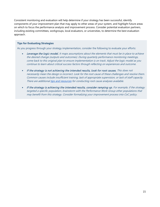Consistent monitoring and evaluation will help determine if your strategy has been successful, identify components of your improvement plan that may apply to other areas of your system, and highlight future areas on which to focus the performance analysis and improvement process. Consider potential evaluation partners, including existing committees, workgroups, local evaluators, or universities, to determine the best evaluation approach.

#### **Tips for Evaluating Strategies**

As you progress through your strategy implementation, consider the following to evaluate your efforts:

- **Leverage the logic model.** It maps assumptions about the elements that must be in place to achieve the desired change (outputs and outcomes). During quarterly performance monitoring meetings, come back to this original plan to ensure implementation is on track. Adjust the logic model as you continue to learn about critical success factors through reflecting on experiences and outcome.
- If the strategy is not achieving the intended results, look for root causes. This does not necessarily mean the design is incorrect. Look for the root cause of these challenges and resolve them. Common causes include insufficient training, lack of appropriate supervision, or lack of staff capacity. There are additional tips and resources for conducting root cause analyses available.
- If the strategy is achieving the intended results, consider ramping up. For example, if the strategy targeted a specific population, brainstorm with the Performance Work Group other populations that may benefit from this strategy. Consider formalizing your improvement process into CoC policy.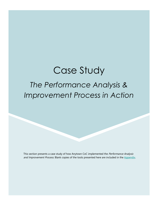# Case Study

## *The Performance Analysis & Improvement Process in Action*

This section presents a case study of how Anytown CoC implemented the Performance Analysis and Improvement Process. Blank copies of the tools presented here are included in the Appendix.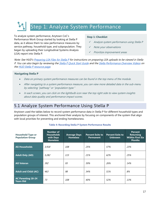# Step 1: Analyze System Performance

To analyze system performance, Anytown CoC's Performance Work Group started by looking at Stella P data, as it allows them to view performance measures by service pathway, household type, and subpopulation. They began by uploading their Longitudinal Systems Analysis (LSA) report into Stella P.

#### **Step 1: Checklist**

- Analyze system performance using Stella P
- Note your observations
- Prioritize improvement areas

Note: See HUD's Preparing LSA Files for Stella P for instructions on preparing LSA uploads to be viewed in Stella P. You can also begin by reviewing the Stella P Quick Start Guide and the Stella Performance Overview Videos on the HUD Stella P resource page.

#### **Navigating Stella P**

- Data on primary system performance measures can be found in the top menu of the module.
- After navigating to a system performance measure, you can view more detailed data in the sub-menu by selecting "pathway" or "population type."
- In each screen, you can click on the lightbulb icon near the top right side to view system insights about data quality and performance impact scores.

## 5.1 Analyze System Performance Using Stella P

Anytown used the tables below to record system performance data in Stella P for different household types and population groups of interest. This anchored their analysis by focusing on components of the system that align with local priorities for preventing and ending homelessness.

| <b>Household Type or</b><br><b>Population Group</b> | Number of<br><b>Households</b><br>with Days<br><b>Homeless</b> | <b>Average Days</b><br><b>Homeless</b> | <b>Percent Exits to</b><br><b>Permanent</b> | <b>Percent Exits to</b><br><b>Unknown</b> | <b>Percent</b><br><b>Returning</b><br><b>Within First Six</b><br><b>Months</b> |
|-----------------------------------------------------|----------------------------------------------------------------|----------------------------------------|---------------------------------------------|-------------------------------------------|--------------------------------------------------------------------------------|
| <b>All Households</b>                               | 3,918                                                          | <i>108</i>                             | 25%                                         | 57%                                       | 23%                                                                            |
| <b>Adult Only (AO)</b>                              | 3,282                                                          | 115                                    | 21%                                         | 62%                                       | 25%                                                                            |
| <b>AO Veteran</b>                                   | 392                                                            | 93                                     | 59%                                         | 26%                                       | 14%                                                                            |
| <b>Adult and Child (AC)</b>                         | 463                                                            | 98                                     | 34%                                         | 51%                                       | 8%                                                                             |
| <b>AC Parenting 18-24</b><br><b>Years Old</b>       | 73                                                             | <i>108</i>                             | 40%                                         | 52%                                       | 13%                                                                            |

#### **Table 4: Recording Stella P System Performance Results**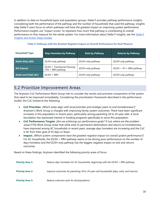In addition to data on household types and population groups, Stella P provides pathway performance insights. Considering both the performance of the pathway and the number of households that used the pathway, insights help Stella P users focus on which pathways will have the greatest impact on improving system performance. Performance insights use "impact scores" to represent how much that pathway is contributing to overall performance on that measure for the whole system. For more information about Stella P insights, see the Stella P Insights and Action Steps Guides.

| <b>Household Type</b><br><b>Days Homeless by Pathway</b> |                                                      | <b>Exits by Pathway</b> | <b>Returns by Pathway</b>  |  |
|----------------------------------------------------------|------------------------------------------------------|-------------------------|----------------------------|--|
| Adult-Only (AO)                                          | ES/SH-only pathway                                   | ES/SH-only pathway      | ES/SH-only pathway         |  |
| <b>AO Veteran</b>                                        | ES/SH + Transitional Housing<br>$(TH)$ + RRH pathway | ES/SH-only pathway      | $ES/SH + TH + RRH$ pathway |  |
| <b>Adult and Child (AC)</b>                              | ES/SH + RRH                                          | ES/SH-only pathway      | ES/SH-only pathway         |  |

**Table 5: Pathways with the Greatest Negative Impact on Overall Performance for Each Measure** 

### 5.2 Prioritize Improvement Areas

The Anytown CoC Performance Work Group met to consider the results and prioritize components of the system that need to be improved immediately. Considering the prioritization framework described in the performance toolkit, the CoC looked at the following:

- **CoC Priorities:** [Which areas align with local priorities and strategic plans to end homelessness?] Anytown's Work Group is charged with improving family system outcomes. There have been significant increases in this population in recent years, particularly among parenting 18 to 24-year-olds. A local foundation has expressed interest in funding programs specifically to serve this population.
- **CoC Performance Targets:** [Are we achieving our performance goals? If not, where are the problem areas?J The Work Group notes that while exits to permanent destinations and returns to homelessness have improved among AC households in recent years, average days homeless are increasing and the CoC is far from their goal of 45 days or fewer.
- **Impact:** [Which system components have the greatest negative impact on overall system performance?] For AC households, the ES/SH + RRH pathway seems to be driving poor performance on the number of days homeless and the ES/SH-only pathway has the biggest negative impact on exit and returns outcomes.

Based on these findings, Anytown identified the following priority areas of focus:

| <b>Priority Area 1:</b> | Reduce days homeless for AC households, beginning with the $ES/SH + RRH$ pathway       |
|-------------------------|----------------------------------------------------------------------------------------|
| <b>Priority Area 2:</b> | Improve outcomes for parenting 18 to 24-year-old households (days, exits, and returns) |
| <b>Priority Area 3:</b> | Reduce unknown exits for all populations                                               |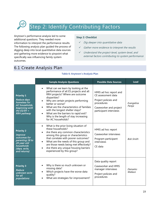# Step 2: Identify Contributing Factors

Anytown's performance analysis led to some additional questions. They needed more information to interpret the performance results. The following analysis plan guided the process of digging deep into local quantitative data sources and gathering more evidence to pinpoint what specifically was influencing family system outcomes.

#### **Step 2: Checklist**

- $\checkmark$  Dig deeper into quantitative data
- $\checkmark$  Gather more evidence to interpret the results
- Understand the project-level, system-level, and external factors contributing to system performance

## 6.1 Create Analysis Plan

#### **Table 6: Anytown's Analysis Plan**

|                                                                                                                                      | <b>Sample Analysis Questions</b>                                                                                                                                                                                                                                                                                                                                                 | <b>Possible Data Sources</b>                                                                                                           | <b>Lead</b>          |
|--------------------------------------------------------------------------------------------------------------------------------------|----------------------------------------------------------------------------------------------------------------------------------------------------------------------------------------------------------------------------------------------------------------------------------------------------------------------------------------------------------------------------------|----------------------------------------------------------------------------------------------------------------------------------------|----------------------|
| <b>Priority 1</b><br><b>Reduce days</b><br>homeless for<br>AC households,<br>beginning with<br>the $ES/SH +$<br><b>RRH</b> pathway   | What can we learn by looking at the<br>performance of all ES projects and all<br>RRH projects? Where are outcome<br>disparities?<br>Why are certain projects performing<br>better or worse?<br>What are the characteristics of families<br>with the longest shelter stays?<br>What are the barriers to rapid exit?<br>Why is the length of stay increasing<br>for AC households? | HMIS ad hoc report and<br>CE assessment data<br>Project policies and<br>procedures<br>Caseworker and project<br>participant interviews | Evangelina<br>Pareja |
| <b>Priority 2</b><br><b>Improve</b><br>outcomes for<br>parenting 18 to<br>24-year-old<br>households<br>(days, exits,<br>and returns) | What is the prior living situation of<br>$\bullet$<br>these households?<br>Are there any common characteristics<br>among this group or characteristics<br>that correlate with poorer outcomes?<br>What are the needs of this group and<br>$\bullet$<br>are those needs being met effectively?<br>Are there any unique housing barriers<br>experienced by this group?             | HMIS ad hoc report<br>Caseworker interviews<br>Program participant<br>interviews<br>CE data                                            | <b>Bob Smith</b>     |
| <b>Priority 3</b><br>Reduce<br>unknown exits<br>for all<br>populations                                                               | Why is there so much unknown or<br>missing data?<br>Which projects have the worse data<br>quality?<br>What are strategies for improvement?                                                                                                                                                                                                                                       | Data quality report<br>Caseworker and HMIS<br>manager interviews<br>Project policies and<br>procedures                                 | Damarko<br>Wallace   |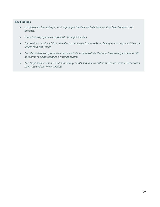#### **Key Findings**

- Landlords are less willing to rent to younger families, partially because they have limited credit histories.
- Fewer housing options are available for larger families.
- Two shelters require adults in families to participate in a workforce development program if they stay longer than two weeks.
- Two Rapid Rehousing providers require adults to demonstrate that they have steady income for 90 days prior to being assigned a housing locator.
- Two large shelters are not routinely exiting clients and, due to staff turnover, no current caseworkers have received any HMIS training.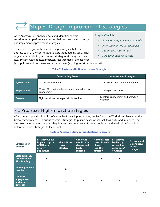# Step 3: Design Improvement Strategies

After Anytown CoC analyzed data and identified factors contributing to performance results, their next step was to design and implement improvement strategies.

This process began with brainstorming strategies that could address each of the contributing factors identified in Step 2. They organized contributing factors and strategies at the system level (e.g., system-wide policies/practices, resource gaps), project level

#### **Step 3: Checklist**

- Brainstorm improvement strategies
- Prioritize high-impact strategies
- Design your logic model
- Map conditions for success

(e.g., policies and practices), and external level (e.g., high-cost rental market).

#### **Table 7: Anytown's Draft Improvement Strategies**

|                      | <b>Contributing Factors</b>                                     | <b>Improvement Strategies</b>                 |
|----------------------|-----------------------------------------------------------------|-----------------------------------------------|
| System-Level         | Insufficient RRH units                                          | State advocacy for additional funding         |
| <b>Project-Level</b> | ES and RRH policies that require extended service<br>engagement | Training on best practices                    |
| <b>External</b>      | Tight rental market, especially for families                    | Landlord engagement and proactive<br>outreach |

## 7.1 Prioritize High-Impact Strategies

After coming up with a long list of strategies for each priority area, the Performance Work Group leveraged the below framework to help prioritize which strategies to pursue based on impact, feasibility, and influence. They discussed whether the strategies they brainstormed met each of these conditions and used this information to determine which strategies to tackle first.

#### **Table 8: Anytown's Strategy Prioritization Framework**

| <b>Strategies of</b><br><b>Interest</b>                       | <b>Strategy would</b><br>impact large %<br>of HH or a<br>priority<br>population | This solution<br>is cost-<br>effective | CoC could<br>mobilize this<br>change and<br>likely<br>succeed | <b>Homelessness</b><br>sector is well-<br>placed to<br>lead this<br>strategy | <b>Strategy is</b><br>backed by<br>research or<br>other data/<br>evidence | <b>Environment</b><br>is conducive<br>to this<br>change |
|---------------------------------------------------------------|---------------------------------------------------------------------------------|----------------------------------------|---------------------------------------------------------------|------------------------------------------------------------------------------|---------------------------------------------------------------------------|---------------------------------------------------------|
| <b>State advocacy</b><br>for additional<br><b>RRH</b> funding | Χ                                                                               | X                                      |                                                               | Χ                                                                            | X                                                                         |                                                         |
| <b>Training on best</b><br>practices                          |                                                                                 | X                                      |                                                               | X                                                                            | X                                                                         |                                                         |
| <b>Landlord</b><br>engagement<br>and proactive<br>outreach    | X                                                                               | X                                      | X                                                             | X                                                                            | X                                                                         | X                                                       |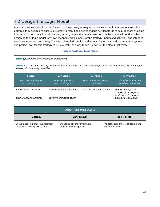## 7.2 Design the Logic Model

Anytown designed a logic model for each of the primary strategies that were chosen in the previous step. For example, they decided to pursue a strategy to recruit and better engage new landlords to acquire more available housing units for family households and, in turn, reduce the time it takes for families to move into RRH. When designing their logic model, Anytown mapped core elements of the strategy (inputs and activities) and intended results (outputs and outcomes). They also identified conditions that must be in place at the community, system, and project level for this strategy to be successful as a way to focus efforts in the places that matter.

#### **Table 9: Anytown's Logic Model**

| <b>Strategy:</b> Landlord recruitment and engagement<br>Purpose: Create more housing options with local landlords and reduce the length of time AC households are in emergency<br>shelter prior to moving into RRH. |                                                         |                                                          |                                        |                  |                                                                                                 |  |  |
|---------------------------------------------------------------------------------------------------------------------------------------------------------------------------------------------------------------------|---------------------------------------------------------|----------------------------------------------------------|----------------------------------------|------------------|-------------------------------------------------------------------------------------------------|--|--|
| <b>INPUT</b><br>Resources needed to                                                                                                                                                                                 |                                                         | <b>ACTIVITIES</b><br>Services needed to                  | <b>OUTPUTS</b>                         |                  | <b>OUTCOMES</b><br>Client-level targets for                                                     |  |  |
| accomplish goal                                                                                                                                                                                                     |                                                         | accomplish goal                                          | How to measure activities<br>performed |                  | activities performed                                                                            |  |  |
| Informational materials<br>Staff to engage landlords                                                                                                                                                                | Mailings to local landlords<br>Landlord marketing event |                                                          | # of new landlords recruited           |                  | Reduce average days<br>homeless in emergency<br>shelter prior to move-in<br>among AC households |  |  |
|                                                                                                                                                                                                                     |                                                         |                                                          | <b>CONDITIONS FOR SUCCESS</b>          |                  |                                                                                                 |  |  |
| <b>External</b>                                                                                                                                                                                                     |                                                         |                                                          | <b>System Level</b>                    |                  | <b>Project Level</b>                                                                            |  |  |
| Enough housing units; support from<br>landlords-willingness to rent                                                                                                                                                 |                                                         | Enough RRH slots for families;<br>progressive engagement |                                        | referring to RRH | Projects appropriately screening and                                                            |  |  |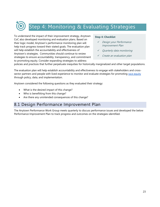# Step 4: Monitoring & Evaluating Strategies

To understand the impact of their improvement strategy, Anytown CoC also developed monitoring and evaluation plans. Based on their logic model, Anytown's performance monitoring plan will help track progress toward their stated goals. The evaluation plan will help establish the accountability and effectiveness of Anytown's strategies. Communities should continue to review strategies to ensure accountability, transparency, and commitment to promoting equity. Consider expanding strategies to address

#### **Step 4: Checklist**

- Design your Performance Improvement Plan
- Quarterly data monitoring
- Create an evaluation plan

policies and practices that further perpetuate inequities for historically marginalized and other target populations.

The evaluation plan will help establish accountability and effectiveness to engage with stakeholders and crosssector partners and people with lived experience to monitor and evaluate strategies for promoting race equity through policy, data, and implementation.

Anytown considered the following questions as they evaluated their strategy:

- What is the desired impact of this change?
- Who is benefitting from this change?
- Are there any unintended consequences of this change?

### 8.1 Design Performance Improvement Plan

The Anytown Performance Work Group meets quarterly to discuss performance issues and developed the below Performance Improvement Plan to track progress and outcomes on the strategies identified.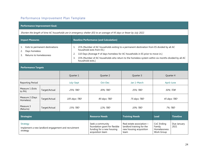### Performance Improvement Plan Template

#### **Performance Improvement Goal:**

Shorten the length of time AC households are in emergency shelter (ES) to an average of 45 days or fewer by July 2022.

| <b>Impact Measures</b><br><b>Baseline Performance [and Calculation]</b>                                                                                                                                                                                                                                                                                                                                                                                 |               |                       |                                                                                                    |                                                                                          |                                                    |                     |              |
|---------------------------------------------------------------------------------------------------------------------------------------------------------------------------------------------------------------------------------------------------------------------------------------------------------------------------------------------------------------------------------------------------------------------------------------------------------|---------------|-----------------------|----------------------------------------------------------------------------------------------------|------------------------------------------------------------------------------------------|----------------------------------------------------|---------------------|--------------|
| Exits to permanent destinations<br>21% [Number of AC households exiting to a permanent destination from ES divided by all AC<br>1.<br>1.<br>household exits from ES.]<br>Days homeless<br>2.<br>110 Days [Average # of days homeless for AC households in ES prior to move-in.]<br>2.<br>Returns to homelessness<br>3.<br>15% [Number of AC households who return to the homeless system within six months divided by all AC<br>3.<br>household exits.] |               |                       |                                                                                                    |                                                                                          |                                                    |                     |              |
| <b>Performance Targets</b>                                                                                                                                                                                                                                                                                                                                                                                                                              |               |                       |                                                                                                    |                                                                                          |                                                    |                     |              |
| Quarter 1<br>Quarter 2                                                                                                                                                                                                                                                                                                                                                                                                                                  |               |                       | Quarter 3                                                                                          | Quarter 4                                                                                |                                                    |                     |              |
| <b>Reporting Period</b>                                                                                                                                                                                                                                                                                                                                                                                                                                 | July-Sept     |                       | Oct-Dec                                                                                            | Jan 1-March                                                                              | April-June                                         |                     |              |
| Measure 1 (Exits<br>to PH)                                                                                                                                                                                                                                                                                                                                                                                                                              | Target/Actual | 25%; TBD              |                                                                                                    | 30%: TBD                                                                                 | 35%: TBD                                           | <i>50%: TDB</i>     |              |
| Measure 2 (Days<br>Homeless)                                                                                                                                                                                                                                                                                                                                                                                                                            | Target/Actual | 105 days; TBD         |                                                                                                    | 90 days; TBD                                                                             | 75 days; TBD                                       |                     | 45 days; TBD |
| Measure 3<br>(Returns)                                                                                                                                                                                                                                                                                                                                                                                                                                  | Target/Actual | <i>15%; TBD</i>       |                                                                                                    | 12%; TBD                                                                                 | 10%; TBD                                           |                     | 7%: TBD      |
| <b>Strategies</b>                                                                                                                                                                                                                                                                                                                                                                                                                                       |               | <b>Resource Needs</b> | <b>Training Needs</b>                                                                              | <b>Lead</b>                                                                              | <b>Timeline</b>                                    |                     |              |
| <b>Strategy</b><br>Implement a new landlord engagement and recruitment<br>strategy                                                                                                                                                                                                                                                                                                                                                                      |               |                       | Seek a community<br>foundation grant for flexible<br>funding for a new housing<br>acquisition team | Real estate association-<br>landlord training for the<br>new housing acquisition<br>team | CoC Ending<br>Family<br>Homelessness<br>Work Group | Due January<br>2021 |              |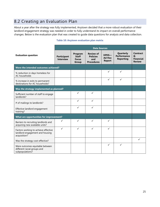## 8.2 Creating an Evaluation Plan

About a year after the strategy was fully implemented, Anytown decided that a more robust evaluation of their landlord engagement strategy was needed in order to fully understand its impact on overall performance changes. Below is the evaluation plan that was created to guide data questions for analysis and data collection.

|                                                                                         | <b>Data Sources</b>             |                                                  |                                                                 |                                         |                                                     |                                                           |  |  |
|-----------------------------------------------------------------------------------------|---------------------------------|--------------------------------------------------|-----------------------------------------------------------------|-----------------------------------------|-----------------------------------------------------|-----------------------------------------------------------|--|--|
| <b>Evaluation question</b>                                                              | Participant<br><b>Interview</b> | Program<br><b>Staff</b><br><b>Focus</b><br>Group | <b>Review of</b><br><b>Policies</b><br>and<br><b>Procedures</b> | HMIS-<br><b>Ad Hoc</b><br><b>Report</b> | Quarterly<br><b>Performance</b><br><b>Reporting</b> | <b>Contract</b><br>&<br><b>Financial</b><br><b>Review</b> |  |  |
| Were the intended outcomes achieved?                                                    |                                 |                                                  |                                                                 |                                         |                                                     |                                                           |  |  |
| % reduction in days homeless for<br>AC households                                       |                                 |                                                  |                                                                 | ✓                                       | $\checkmark$                                        |                                                           |  |  |
| % increase in exits to permanent<br>destinations for AC households?                     |                                 |                                                  |                                                                 | $\checkmark$                            | $\checkmark$                                        |                                                           |  |  |
| Was the strategy implemented as planned?                                                |                                 |                                                  |                                                                 |                                         |                                                     |                                                           |  |  |
| Sufficient number of staff to engage<br>landlords?                                      |                                 | $\checkmark$                                     | $\checkmark$                                                    |                                         |                                                     |                                                           |  |  |
| # of mailings to landlords?                                                             |                                 | $\checkmark$                                     | $\checkmark$                                                    |                                         |                                                     |                                                           |  |  |
| Effective landlord engagement<br>training?                                              |                                 | ✓                                                | $\checkmark$                                                    |                                         |                                                     |                                                           |  |  |
| What are opportunities for improvement?                                                 |                                 |                                                  |                                                                 |                                         |                                                     |                                                           |  |  |
| Barriers to recruiting landlords and<br>acquiring new available units?                  | ✓                               | ✓                                                | ✓                                                               | ✓                                       |                                                     |                                                           |  |  |
| Factors working to achieve effective<br>landlord engagement and housing<br>acquisition? | ✓                               | $\checkmark$                                     | $\checkmark$                                                    | $\checkmark$                            |                                                     |                                                           |  |  |
| Was the strategy cost-effective?                                                        |                                 |                                                  |                                                                 |                                         |                                                     |                                                           |  |  |
| Were outcomes equitable between<br>different racial groups and<br>subpopulations?       |                                 |                                                  |                                                                 | ✓                                       | ✓                                                   |                                                           |  |  |

#### **Table 10: Anytown evaluation plan matrix**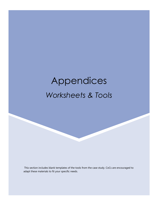# Appendices *Worksheets & Tools*

This section includes blank templates of the tools from the case study. CoCs are encouraged to adapt these materials to fit your specific needs.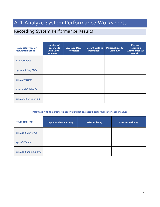## A-1 Analyze System Performance Worksheets

## Recording System Performance Results

| <b>Household Type or</b><br><b>Population Group</b> | <b>Number of</b><br><b>Households</b><br>with Days<br><b>Homeless</b> | <b>Average Days</b><br><b>Homeless</b> | <b>Percent Exits to</b><br><b>Permanent</b> | <b>Percent Exits to</b><br><b>Unknown</b> | <b>Percent</b><br><b>Returning</b><br><b>Within First Six</b><br><b>Months</b> |
|-----------------------------------------------------|-----------------------------------------------------------------------|----------------------------------------|---------------------------------------------|-------------------------------------------|--------------------------------------------------------------------------------|
| <b>All Households</b>                               |                                                                       |                                        |                                             |                                           |                                                                                |
| e.g., Adult Only (AO)                               |                                                                       |                                        |                                             |                                           |                                                                                |
| e.g., AO Veteran                                    |                                                                       |                                        |                                             |                                           |                                                                                |
| Adult and Child (AC)                                |                                                                       |                                        |                                             |                                           |                                                                                |
| e.g., AO 18-24 years old                            |                                                                       |                                        |                                             |                                           |                                                                                |

#### **Pathways with the greatest negative impact on overall performance for each measure**

| <b>Household Type</b>      | <b>Days Homeless Pathway</b> | <b>Exits Pathway</b> | <b>Returns Pathway</b> |
|----------------------------|------------------------------|----------------------|------------------------|
| e.g., Adult Only (AO)      |                              |                      |                        |
| e.g., AO Veteran           |                              |                      |                        |
| e.g., Adult and Child (AC) |                              |                      |                        |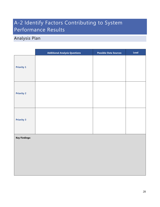## A-2 Identify Factors Contributing to System Performance Results

## Analysis Plan

|                      | <b>Additional Analysis Questions</b> | <b>Possible Data Sources</b> | Lead |
|----------------------|--------------------------------------|------------------------------|------|
| <b>Priority 1</b>    |                                      |                              |      |
| <b>Priority 2</b>    |                                      |                              |      |
| <b>Priority 3</b>    |                                      |                              |      |
| <b>Key Findings:</b> |                                      |                              |      |
|                      |                                      |                              |      |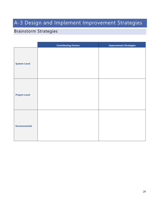## A-3 Design and Implement Improvement Strategies

## Brainstorm Strategies

|                      | <b>Contributing Factors</b> | <b>Improvement Strategies</b> |
|----------------------|-----------------------------|-------------------------------|
| <b>System-Level</b>  |                             |                               |
| <b>Project-Level</b> |                             |                               |
| <b>Environmental</b> |                             |                               |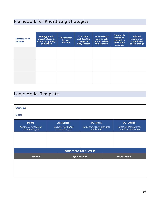## Framework for Prioritizing Strategies

| <b>Strategies of</b><br><b>Interest</b> | <b>Strategy would</b><br>impact a large %<br>of HH or a priority<br>population | <b>This solution</b><br>is cost-<br>effective | <b>CoC</b> could<br>mobilize this<br>change and<br>likely succeed | <b>Homelessness</b><br>sector is well-<br>placed to lead<br>this strategy | <b>Strategy is</b><br>backed by<br>research or<br>other data/<br>evidence | <b>Political</b><br>environment<br>is conducive<br>to this change |
|-----------------------------------------|--------------------------------------------------------------------------------|-----------------------------------------------|-------------------------------------------------------------------|---------------------------------------------------------------------------|---------------------------------------------------------------------------|-------------------------------------------------------------------|
|                                         |                                                                                |                                               |                                                                   |                                                                           |                                                                           |                                                                   |
|                                         |                                                                                |                                               |                                                                   |                                                                           |                                                                           |                                                                   |
|                                         |                                                                                |                                               |                                                                   |                                                                           |                                                                           |                                                                   |

## Logic Model Template

| <b>Strategy:</b>                       |                                       |                                        |                                                  |
|----------------------------------------|---------------------------------------|----------------------------------------|--------------------------------------------------|
| Goal:                                  |                                       |                                        |                                                  |
| <b>INPUT</b>                           | <b>ACTIVITIES</b>                     | <b>OUTPUTS</b>                         | <b>OUTCOMES</b>                                  |
| Resources needed to<br>accomplish goal | Services needed to<br>accomplish goal | How to measure activities<br>performed | Client-level targets for<br>activities performed |
|                                        |                                       |                                        |                                                  |
|                                        |                                       |                                        |                                                  |
|                                        |                                       |                                        |                                                  |
|                                        |                                       | <b>CONDITIONS FOR SUCCESS</b>          |                                                  |
| <b>External</b>                        |                                       | <b>System Level</b>                    | <b>Project Level</b>                             |
|                                        |                                       |                                        |                                                  |
|                                        |                                       |                                        |                                                  |
|                                        |                                       |                                        |                                                  |
|                                        |                                       |                                        |                                                  |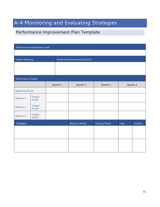## A-4 Monitoring and Evaluating Strategies

## Performance Improvement Plan Template

| Performance Improvement Goal: |                   |  |           |                                         |                       |           |          |  |  |
|-------------------------------|-------------------|--|-----------|-----------------------------------------|-----------------------|-----------|----------|--|--|
|                               |                   |  |           |                                         |                       |           |          |  |  |
| <b>Impact Measures</b>        |                   |  |           | <b>Baseline Performance/Calculation</b> |                       |           |          |  |  |
|                               |                   |  |           |                                         |                       |           |          |  |  |
| Performance Targets           |                   |  |           |                                         |                       |           |          |  |  |
|                               |                   |  | Quarter 1 | Quarter 2                               | Quarter 3             | Quarter 4 |          |  |  |
| <b>Reporting Period</b>       |                   |  |           |                                         |                       |           |          |  |  |
| Measure 1                     | Target/<br>Actual |  |           |                                         |                       |           |          |  |  |
| Measure 2                     | Target/<br>Actual |  |           |                                         |                       |           |          |  |  |
| Measure 3                     | Target/<br>Actual |  |           |                                         |                       |           |          |  |  |
| Strategies                    |                   |  |           | <b>Resource Needs</b>                   | <b>Training Needs</b> | Lead      | Timeline |  |  |
|                               |                   |  |           |                                         |                       |           |          |  |  |
|                               |                   |  |           |                                         |                       |           |          |  |  |
|                               |                   |  |           |                                         |                       |           |          |  |  |
|                               |                   |  |           |                                         |                       |           |          |  |  |